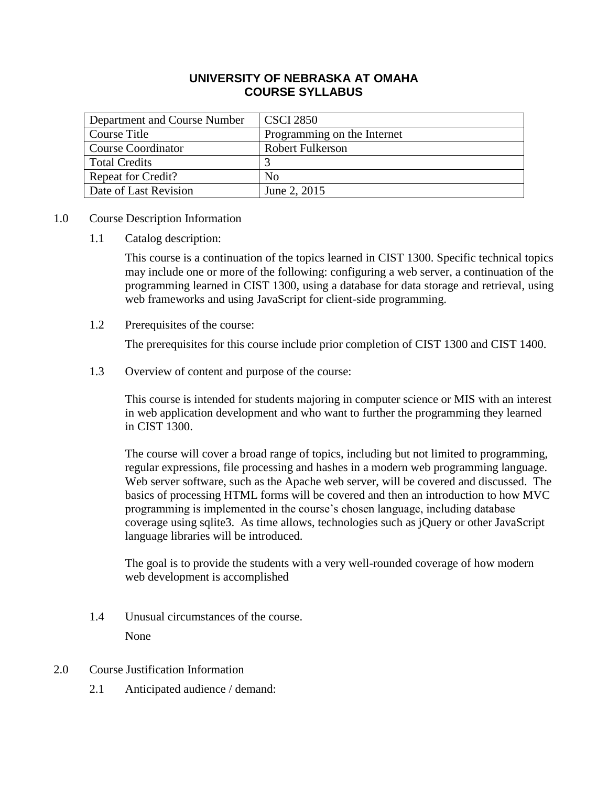### **UNIVERSITY OF NEBRASKA AT OMAHA COURSE SYLLABUS**

| Department and Course Number | <b>CSCI 2850</b>            |
|------------------------------|-----------------------------|
| Course Title                 | Programming on the Internet |
| <b>Course Coordinator</b>    | <b>Robert Fulkerson</b>     |
| <b>Total Credits</b>         |                             |
| <b>Repeat for Credit?</b>    | N <sub>0</sub>              |
| Date of Last Revision        | June 2, 2015                |

### 1.0 Course Description Information

1.1 Catalog description:

This course is a continuation of the topics learned in CIST 1300. Specific technical topics may include one or more of the following: configuring a web server, a continuation of the programming learned in CIST 1300, using a database for data storage and retrieval, using web frameworks and using JavaScript for client-side programming.

1.2 Prerequisites of the course:

The prerequisites for this course include prior completion of CIST 1300 and CIST 1400.

1.3 Overview of content and purpose of the course:

This course is intended for students majoring in computer science or MIS with an interest in web application development and who want to further the programming they learned in CIST 1300.

The course will cover a broad range of topics, including but not limited to programming, regular expressions, file processing and hashes in a modern web programming language. Web server software, such as the Apache web server, will be covered and discussed. The basics of processing HTML forms will be covered and then an introduction to how MVC programming is implemented in the course's chosen language, including database coverage using sqlite3. As time allows, technologies such as jQuery or other JavaScript language libraries will be introduced.

The goal is to provide the students with a very well-rounded coverage of how modern web development is accomplished

- 1.4 Unusual circumstances of the course. None
- 2.0 Course Justification Information
	- 2.1 Anticipated audience / demand: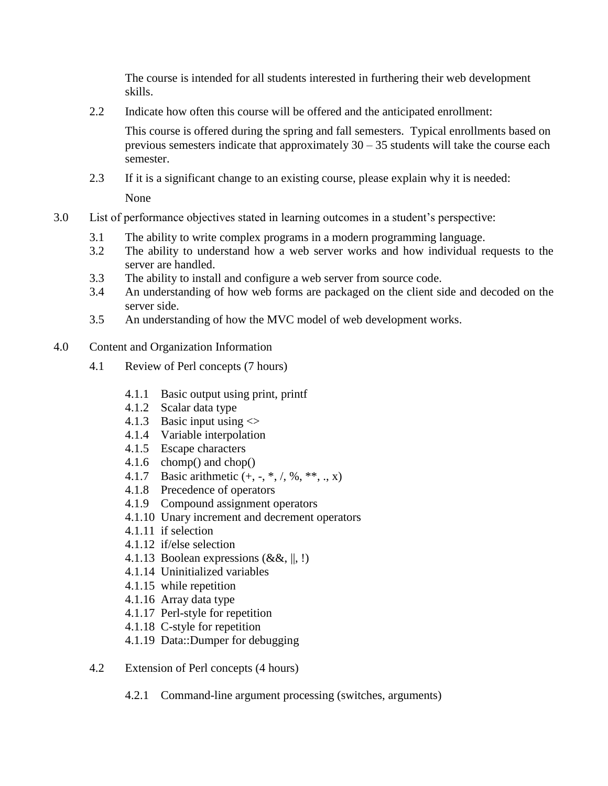The course is intended for all students interested in furthering their web development skills.

2.2 Indicate how often this course will be offered and the anticipated enrollment:

This course is offered during the spring and fall semesters. Typical enrollments based on previous semesters indicate that approximately  $30 - 35$  students will take the course each semester.

- 2.3 If it is a significant change to an existing course, please explain why it is needed: None
- 3.0 List of performance objectives stated in learning outcomes in a student's perspective:
	- 3.1 The ability to write complex programs in a modern programming language.
	- 3.2 The ability to understand how a web server works and how individual requests to the server are handled.
	- 3.3 The ability to install and configure a web server from source code.
	- 3.4 An understanding of how web forms are packaged on the client side and decoded on the server side.
	- 3.5 An understanding of how the MVC model of web development works.
- 4.0 Content and Organization Information
	- 4.1 Review of Perl concepts (7 hours)
		- 4.1.1 Basic output using print, printf
		- 4.1.2 Scalar data type
		- 4.1.3 Basic input using  $\ll$
		- 4.1.4 Variable interpolation
		- 4.1.5 Escape characters
		- 4.1.6 chomp() and chop()
		- 4.1.7 Basic arithmetic  $(+, -, *, /, %, **, ..., x)$
		- 4.1.8 Precedence of operators
		- 4.1.9 Compound assignment operators
		- 4.1.10 Unary increment and decrement operators
		- 4.1.11 if selection
		- 4.1.12 if/else selection
		- 4.1.13 Boolean expressions  $(\&\&\,,\, \|, \cdot)$
		- 4.1.14 Uninitialized variables
		- 4.1.15 while repetition
		- 4.1.16 Array data type
		- 4.1.17 Perl-style for repetition
		- 4.1.18 C-style for repetition
		- 4.1.19 Data::Dumper for debugging
	- 4.2 Extension of Perl concepts (4 hours)
		- 4.2.1 Command-line argument processing (switches, arguments)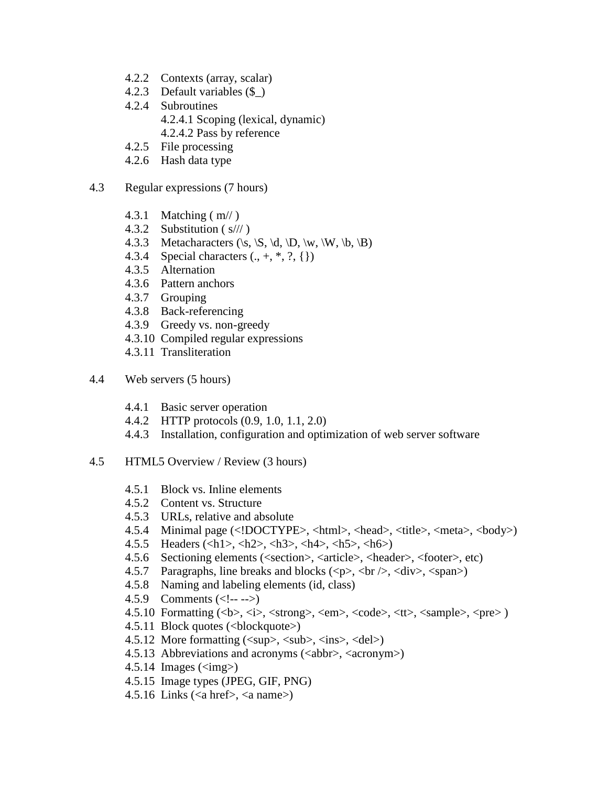- 4.2.2 Contexts (array, scalar)
- 4.2.3 Default variables (\$\_)
- 4.2.4 Subroutines 4.2.4.1 Scoping (lexical, dynamic) 4.2.4.2 Pass by reference
- 4.2.5 File processing
- 4.2.6 Hash data type
- 4.3 Regular expressions (7 hours)
	- 4.3.1 Matching ( m// )
	- 4.3.2 Substitution ( s/// )
	- 4.3.3 Metacharacters  $(\s, \S, \d, \D, \w, \W, \b, \B)$
	- 4.3.4 Special characters  $(., +, *, ?, {})$
	- 4.3.5 Alternation
	- 4.3.6 Pattern anchors
	- 4.3.7 Grouping
	- 4.3.8 Back-referencing
	- 4.3.9 Greedy vs. non-greedy
	- 4.3.10 Compiled regular expressions
	- 4.3.11 Transliteration
- 4.4 Web servers (5 hours)
	- 4.4.1 Basic server operation
	- 4.4.2 HTTP protocols (0.9, 1.0, 1.1, 2.0)
	- 4.4.3 Installation, configuration and optimization of web server software
- 4.5 HTML5 Overview / Review (3 hours)
	- 4.5.1 Block vs. Inline elements
	- 4.5.2 Content vs. Structure
	- 4.5.3 URLs, relative and absolute
	- 4.5.4 Minimal page (<!DOCTYPE>, <html>, <head>, <title>, <meta>, <body>)
	- 4.5.5 Headers (<h1>, <h2>, <h3>, <h4>, <h5>, <h6>)
	- 4.5.6 Sectioning elements (<section>, <article>, <header>, <footer>, etc)
	- 4.5.7 Paragraphs, line breaks and blocks  $(\langle p \rangle, \langle br \rangle, \langle div \rangle, \langle span \rangle)$
	- 4.5.8 Naming and labeling elements (id, class)
	- 4.5.9 Comments  $\left(\langle -1, -1 \rangle\right)$
	- 4.5.10 Formatting (<b>, <i>, <strong>, <em>, <code>, <tt>, <sample>, <pre> )
	- 4.5.11 Block quotes (<blockquote>)
	- 4.5.12</del> More formatting  $(\langle \text{sup}\rangle, \langle \text{sub}\rangle, \langle \text{ins}\rangle, \langle \text{del}\rangle)$
	- 4.5.13 Abbreviations and acronyms  $(\langle abbr \rangle, \langle acronym \rangle)$
	- 4.5.14 Images ( $\langle$ img $\rangle$ )
	- 4.5.15 Image types (JPEG, GIF, PNG)
	- 4.5.16 Links ( $\langle a \text{ href} \rangle$ ,  $\langle a \text{ name} \rangle$ )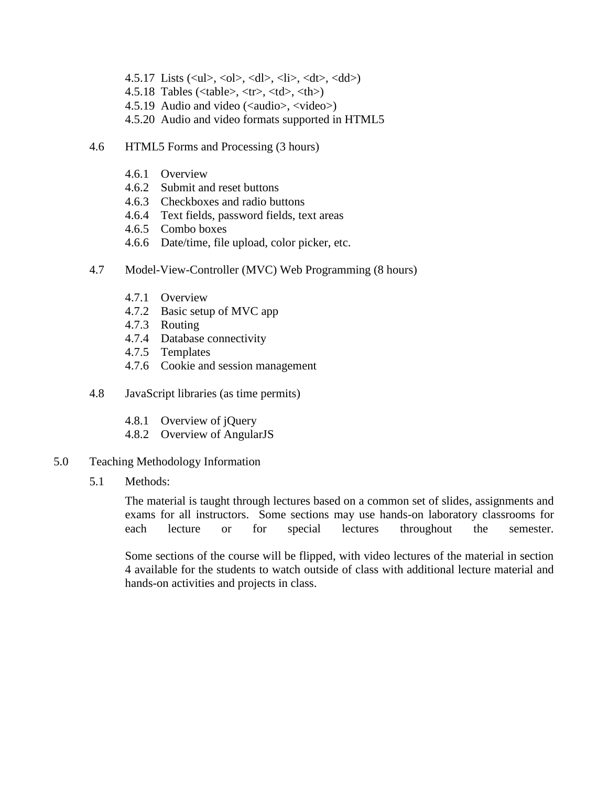- 4.5.17 Lists  $(\langle ul \rangle, \langle ol \rangle, \langle dl \rangle, \langle ll \rangle, \langle dl \rangle, \langle dl \rangle)$
- 4.5.18 Tables ( $ltable$ ),  $lttr$ ),  $ltdb$ ,  $ltth$ )
- 4.5.19 Audio and video (<audio>, <video>)
- 4.5.20 Audio and video formats supported in HTML5
- 4.6 HTML5 Forms and Processing (3 hours)
	- 4.6.1 Overview
	- 4.6.2 Submit and reset buttons
	- 4.6.3 Checkboxes and radio buttons
	- 4.6.4 Text fields, password fields, text areas
	- 4.6.5 Combo boxes
	- 4.6.6 Date/time, file upload, color picker, etc.
- 4.7 Model-View-Controller (MVC) Web Programming (8 hours)
	- 4.7.1 Overview
	- 4.7.2 Basic setup of MVC app
	- 4.7.3 Routing
	- 4.7.4 Database connectivity
	- 4.7.5 Templates
	- 4.7.6 Cookie and session management
- 4.8 JavaScript libraries (as time permits)
	- 4.8.1 Overview of jQuery
	- 4.8.2 Overview of AngularJS
- 5.0 Teaching Methodology Information
	- 5.1 Methods:

The material is taught through lectures based on a common set of slides, assignments and exams for all instructors. Some sections may use hands-on laboratory classrooms for each lecture or for special lectures throughout the semester.

Some sections of the course will be flipped, with video lectures of the material in section 4 available for the students to watch outside of class with additional lecture material and hands-on activities and projects in class.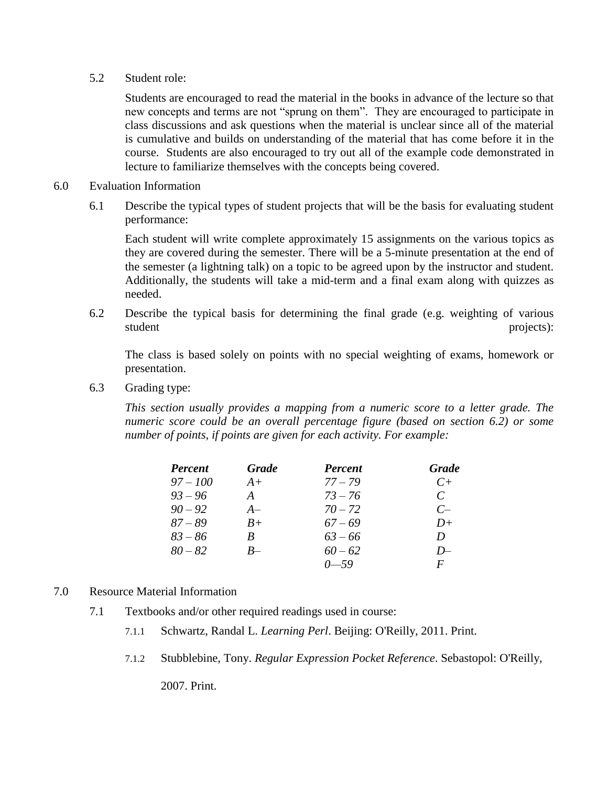#### 5.2 Student role:

Students are encouraged to read the material in the books in advance of the lecture so that new concepts and terms are not "sprung on them". They are encouraged to participate in class discussions and ask questions when the material is unclear since all of the material is cumulative and builds on understanding of the material that has come before it in the course. Students are also encouraged to try out all of the example code demonstrated in lecture to familiarize themselves with the concepts being covered.

- 6.0 Evaluation Information
	- 6.1 Describe the typical types of student projects that will be the basis for evaluating student performance:

Each student will write complete approximately 15 assignments on the various topics as they are covered during the semester. There will be a 5-minute presentation at the end of the semester (a lightning talk) on a topic to be agreed upon by the instructor and student. Additionally, the students will take a mid-term and a final exam along with quizzes as needed.

6.2 Describe the typical basis for determining the final grade (e.g. weighting of various student projects):

The class is based solely on points with no special weighting of exams, homework or presentation.

6.3 Grading type:

*This section usually provides a mapping from a numeric score to a letter grade. The numeric score could be an overall percentage figure (based on section 6.2) or some number of points, if points are given for each activity. For example:*

| <b>Percent</b> | <b>Grade</b> | <b>Percent</b> | <b>Grade</b>  |
|----------------|--------------|----------------|---------------|
| $97 - 100$     | $A+$         | $77 - 79$      | $C_{\pm}$     |
| $93 - 96$      | A            | $73 - 76$      | $\mathcal{C}$ |
| $90 - 92$      | $A-$         | $70 - 72$      | $C-$          |
| $87 - 89$      | $B+$         | $67 - 69$      | $D+$          |
| $83 - 86$      | B            | $63 - 66$      | D             |
| $80 - 82$      | $R-$         | $60 - 62$      | $D-$          |
|                |              | $0 - 59$       | F             |

- 7.0 Resource Material Information
	- 7.1 Textbooks and/or other required readings used in course:
		- 7.1.1 Schwartz, Randal L. *Learning Perl*. Beijing: O'Reilly, 2011. Print.
		- 7.1.2 Stubblebine, Tony. *Regular Expression Pocket Reference*. Sebastopol: O'Reilly,

2007. Print.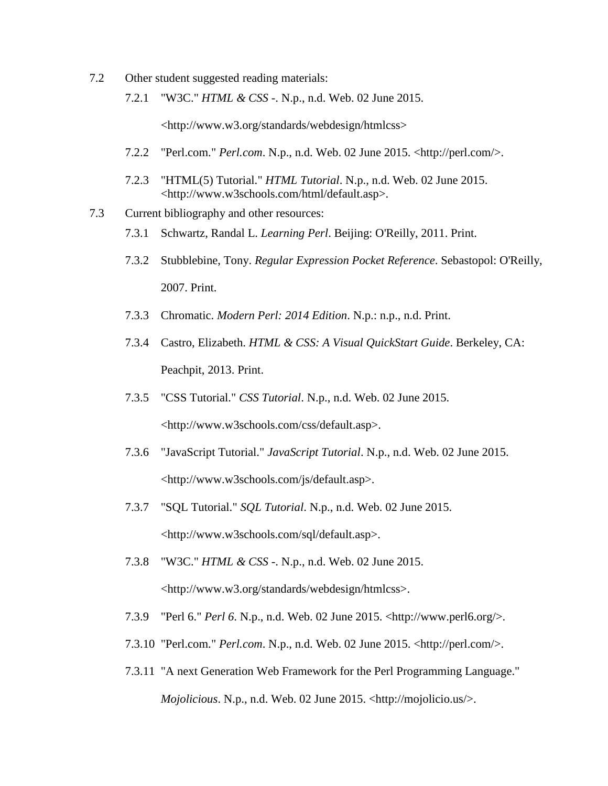- 7.2 Other student suggested reading materials:
	- 7.2.1 "W3C." *HTML & CSS -*. N.p., n.d. Web. 02 June 2015.

<http://www.w3.org/standards/webdesign/htmlcss>

- 7.2.2 "Perl.com." *Perl.com*. N.p., n.d. Web. 02 June 2015. <http://perl.com/>.
- 7.2.3 "HTML(5) Tutorial." *HTML Tutorial*. N.p., n.d. Web. 02 June 2015. <http://www.w3schools.com/html/default.asp>.
- 7.3 Current bibliography and other resources:
	- 7.3.1 Schwartz, Randal L. *Learning Perl*. Beijing: O'Reilly, 2011. Print.
	- 7.3.2 Stubblebine, Tony. *Regular Expression Pocket Reference*. Sebastopol: O'Reilly, 2007. Print.
	- 7.3.3 Chromatic. *Modern Perl: 2014 Edition*. N.p.: n.p., n.d. Print.
	- 7.3.4 Castro, Elizabeth. *HTML & CSS: A Visual QuickStart Guide*. Berkeley, CA: Peachpit, 2013. Print.
	- 7.3.5 "CSS Tutorial." *CSS Tutorial*. N.p., n.d. Web. 02 June 2015. <http://www.w3schools.com/css/default.asp>.
	- 7.3.6 "JavaScript Tutorial." *JavaScript Tutorial*. N.p., n.d. Web. 02 June 2015. <http://www.w3schools.com/js/default.asp>.
	- 7.3.7 "SQL Tutorial." *SQL Tutorial*. N.p., n.d. Web. 02 June 2015. <http://www.w3schools.com/sql/default.asp>.
	- 7.3.8 "W3C." *HTML & CSS -*. N.p., n.d. Web. 02 June 2015. <http://www.w3.org/standards/webdesign/htmlcss>.
	- 7.3.9 "Perl 6." *Perl 6*. N.p., n.d. Web. 02 June 2015. <http://www.perl6.org/>.
	- 7.3.10 "Perl.com." *Perl.com*. N.p., n.d. Web. 02 June 2015. <http://perl.com/>.
	- 7.3.11 "A next Generation Web Framework for the Perl Programming Language." *Mojolicious*. N.p., n.d. Web. 02 June 2015. <http://mojolicio.us/>.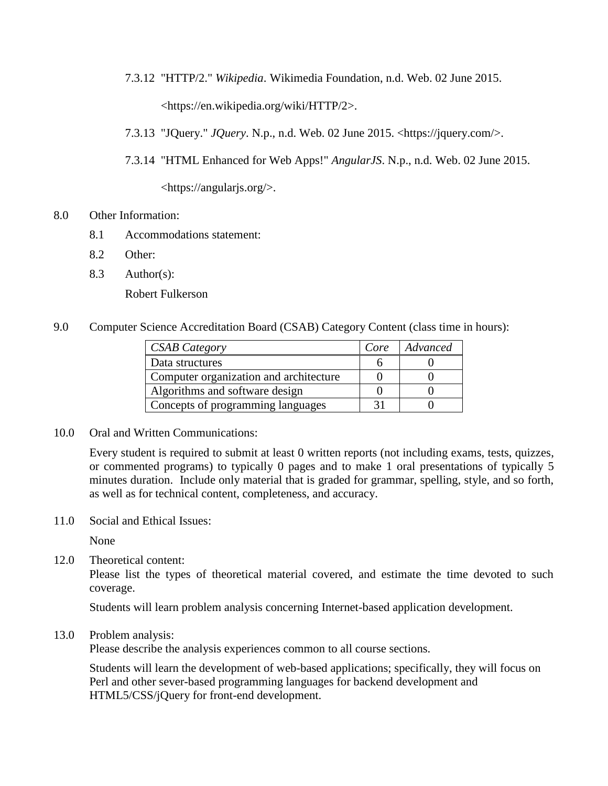7.3.12 "HTTP/2." *Wikipedia*. Wikimedia Foundation, n.d. Web. 02 June 2015.

<https://en.wikipedia.org/wiki/HTTP/2>.

- 7.3.13 "JQuery." *JQuery*. N.p., n.d. Web. 02 June 2015. <https://jquery.com/>.
- 7.3.14 "HTML Enhanced for Web Apps!" *AngularJS*. N.p., n.d. Web. 02 June 2015.

<https://angularjs.org/>.

- 8.0 Other Information:
	- 8.1 Accommodations statement:
	- 8.2 Other:
	- 8.3 Author(s):

Robert Fulkerson

9.0 Computer Science Accreditation Board (CSAB) Category Content (class time in hours):

| <b>CSAB</b> Category                   | Core | Advanced |
|----------------------------------------|------|----------|
| Data structures                        |      |          |
| Computer organization and architecture |      |          |
| Algorithms and software design         |      |          |
| Concepts of programming languages      |      |          |

10.0 Oral and Written Communications:

Every student is required to submit at least 0 written reports (not including exams, tests, quizzes, or commented programs) to typically 0 pages and to make 1 oral presentations of typically 5 minutes duration. Include only material that is graded for grammar, spelling, style, and so forth, as well as for technical content, completeness, and accuracy.

11.0 Social and Ethical Issues:

None

12.0 Theoretical content:

Please list the types of theoretical material covered, and estimate the time devoted to such coverage.

Students will learn problem analysis concerning Internet-based application development.

13.0 Problem analysis:

Please describe the analysis experiences common to all course sections.

Students will learn the development of web-based applications; specifically, they will focus on Perl and other sever-based programming languages for backend development and HTML5/CSS/jQuery for front-end development.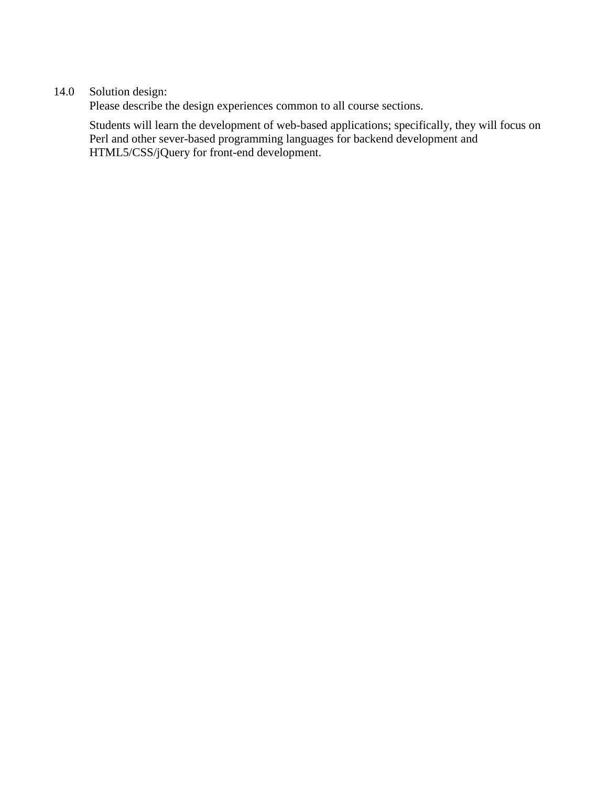# 14.0 Solution design:

Please describe the design experiences common to all course sections.

Students will learn the development of web-based applications; specifically, they will focus on Perl and other sever-based programming languages for backend development and HTML5/CSS/jQuery for front-end development.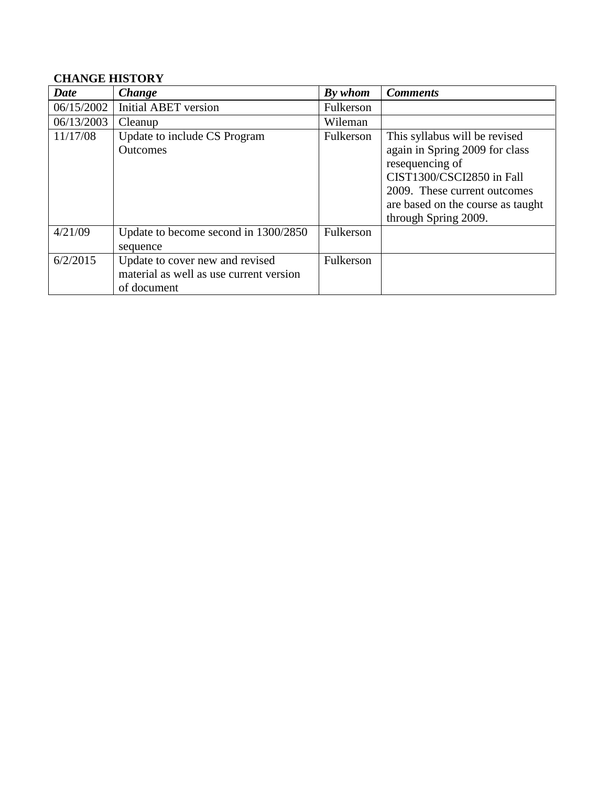# **CHANGE HISTORY**

| Date       | Change                                                                                    | By whom   | <b>Comments</b>                                                                                                                                                                                              |
|------------|-------------------------------------------------------------------------------------------|-----------|--------------------------------------------------------------------------------------------------------------------------------------------------------------------------------------------------------------|
| 06/15/2002 | <b>Initial ABET</b> version                                                               | Fulkerson |                                                                                                                                                                                                              |
| 06/13/2003 | Cleanup                                                                                   | Wileman   |                                                                                                                                                                                                              |
| 11/17/08   | Update to include CS Program<br><b>Outcomes</b>                                           | Fulkerson | This syllabus will be revised<br>again in Spring 2009 for class<br>resequencing of<br>CIST1300/CSCI2850 in Fall<br>2009. These current outcomes<br>are based on the course as taught<br>through Spring 2009. |
| 4/21/09    | Update to become second in 1300/2850<br>sequence                                          | Fulkerson |                                                                                                                                                                                                              |
| 6/2/2015   | Update to cover new and revised<br>material as well as use current version<br>of document | Fulkerson |                                                                                                                                                                                                              |